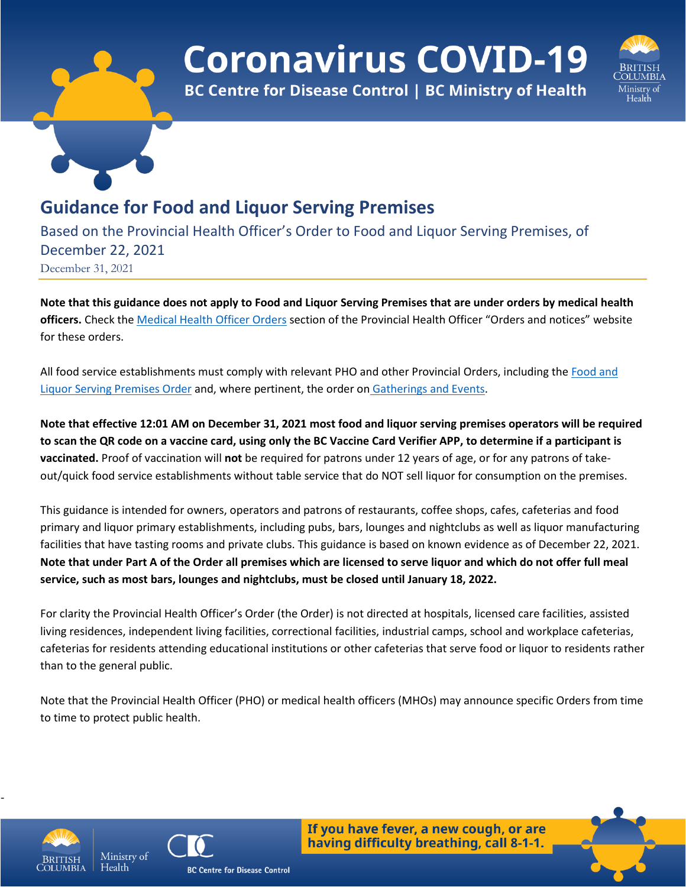# **Coronavirus COVID-19**



**BC Centre for Disease Control | BC Ministry of Health** 

# **Guidance for Food and Liquor Serving Premises**

Based on the Provincial Health Officer's Order to Food and Liquor Serving Premises, of December 22, 2021 December 31, 2021

**Note that this guidance does not apply to Food and Liquor Serving Premises that are under orders by medical health officers.** Check the [Medical Health Officer Orders](https://www2.gov.bc.ca/gov/content/health/about-bc-s-health-care-system/office-of-the-provincial-health-officer/current-health-topics/covid-19-novel-coronavirus) section of the Provincial Health Officer "Orders and notices" website for these orders.

All food service establishments must comply with relevant PHO and other Provincial Orders, including the [Food and](https://www2.gov.bc.ca/assets/gov/health/about-bc-s-health-care-system/office-of-the-provincial-health-officer/covid-19/covid-19-pho-order-nightclubs-food-drink.pdf)  [Liquor Serving Premises Order](https://www2.gov.bc.ca/assets/gov/health/about-bc-s-health-care-system/office-of-the-provincial-health-officer/covid-19/covid-19-pho-order-nightclubs-food-drink.pdf) and, where pertinent, the order on [Gatherings and Events.](https://www2.gov.bc.ca/assets/gov/health/about-bc-s-health-care-system/office-of-the-provincial-health-officer/covid-19/covid-19-pho-order-gatherings-events.pdf)

**Note that effective 12:01 AM on December 31, 2021 most food and liquor serving premises operators will be required to scan the QR code on a vaccine card, using only the BC Vaccine Card Verifier APP, to determine if a participant is vaccinated.** Proof of vaccination will **not** be required for patrons under 12 years of age, or for any patrons of takeout/quick food service establishments without table service that do NOT sell liquor for consumption on the premises.

This guidance is intended for owners, operators and patrons of restaurants, coffee shops, cafes, cafeterias and food primary and liquor primary establishments, including pubs, bars, lounges and nightclubs as well as liquor manufacturing facilities that have tasting rooms and private clubs. This guidance is based on known evidence as of December 22, 2021. **Note that under Part A of the Order all premises which are licensed to serve liquor and which do not offer full meal service, such as most bars, lounges and nightclubs, must be closed until January 18, 2022.**

For clarity the Provincial Health Officer's Order (the Order) is not directed at hospitals, licensed care facilities, assisted living residences, independent living facilities, correctional facilities, industrial camps, school and workplace cafeterias, cafeterias for residents attending educational institutions or other cafeterias that serve food or liquor to residents rather than to the general public.

Note that the Provincial Health Officer (PHO) or medical health officers (MHOs) may announce specific Orders from time to time to protect public health.



-



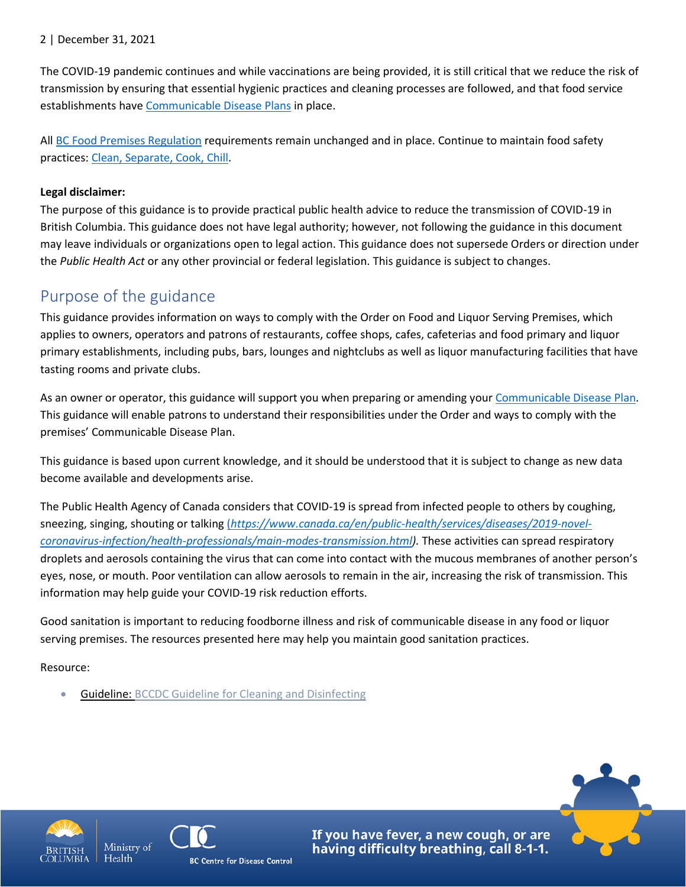#### 2 | December 31, 2021

The COVID-19 pandemic continues and while vaccinations are being provided, it is still critical that we reduce the risk of transmission by ensuring that essential hygienic practices and cleaning processes are followed, and that food service establishments have [Communicable Disease Plans](https://www.worksafebc.com/en/resources/health-safety/books-guides/communicable-disease-prevention-guide-employers?lang=en) in place.

All [BC Food Premises Regulation](http://www.bclaws.ca/civix/document/id/complete/statreg/11_210_99) requirements remain unchanged and in place. Continue to maintain food safety practices[: Clean, Separate, Cook, Chill.](http://www.bccdc.ca/health-info/prevention-public-health/food-safety)

#### **Legal disclaimer:**

The purpose of this guidance is to provide practical public health advice to reduce the transmission of COVID-19 in British Columbia. This guidance does not have legal authority; however, not following the guidance in this document may leave individuals or organizations open to legal action. This guidance does not supersede Orders or direction under the *Public Health Act* or any other provincial or federal legislation. This guidance is subject to changes.

### Purpose of the guidance

This guidance provides information on ways to comply with the Order on Food and Liquor Serving Premises, which applies to owners, operators and patrons of restaurants, coffee shops, cafes, cafeterias and food primary and liquor primary establishments, including pubs, bars, lounges and nightclubs as well as liquor manufacturing facilities that have tasting rooms and private clubs.

As an owner or operator, this guidance will support you when preparing or amending your [Communicable Disease Plan.](https://www.worksafebc.com/en/resources/health-safety/books-guides/communicable-disease-prevention-guide-employers?lang=en) This guidance will enable patrons to understand their responsibilities under the Order and ways to comply with the premises' Communicable Disease Plan.

This guidance is based upon current knowledge, and it should be understood that it is subject to change as new data become available and developments arise.

The Public Health Agency of Canada considers that COVID-19 is spread from infected people to others by coughing, sneezing, singing, shouting or talking (*[https://www.canada.ca/en/public-health/services/diseases/2019-novel](https://www.canada.ca/en/public-health/services/diseases/2019-novel-coronavirus-infection/health-professionals/main-modes-transmission.html)[coronavirus-infection/health-professionals/main-modes-transmission.html\)](https://www.canada.ca/en/public-health/services/diseases/2019-novel-coronavirus-infection/health-professionals/main-modes-transmission.html).* These activities can spread respiratory droplets and aerosols containing the virus that can come into contact with the mucous membranes of another person's eyes, nose, or mouth. Poor ventilation can allow aerosols to remain in the air, increasing the risk of transmission. This information may help guide your COVID-19 risk reduction efforts.

Good sanitation is important to reducing foodborne illness and risk of communicable disease in any food or liquor serving premises. The resources presented here may help you maintain good sanitation practices.

Resource:

Guideline: [BCCDC Guideline for Cleaning and Disinfecting](http://www.bccdc.ca/health-info/diseases-conditions/covid-19/prevention-risks/cleaning-and-disinfecting)



Health



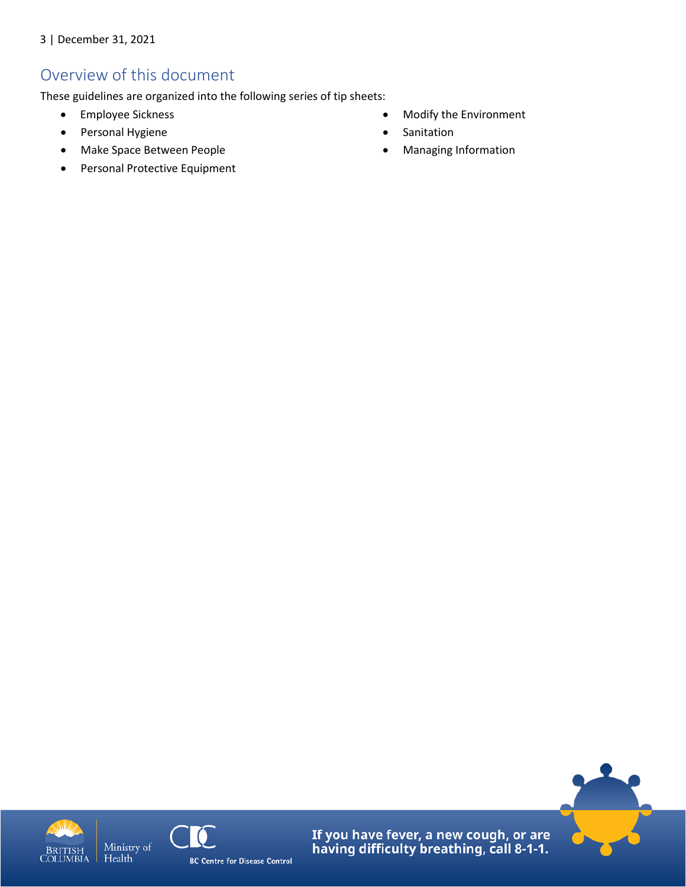### Overview of this document

These guidelines are organized into the following series of tip sheets:

- Employee Sickness
- Personal Hygiene
- Make Space Between People
- Personal Protective Equipment
- Modify the Environment
- Sanitation
- Managing Information





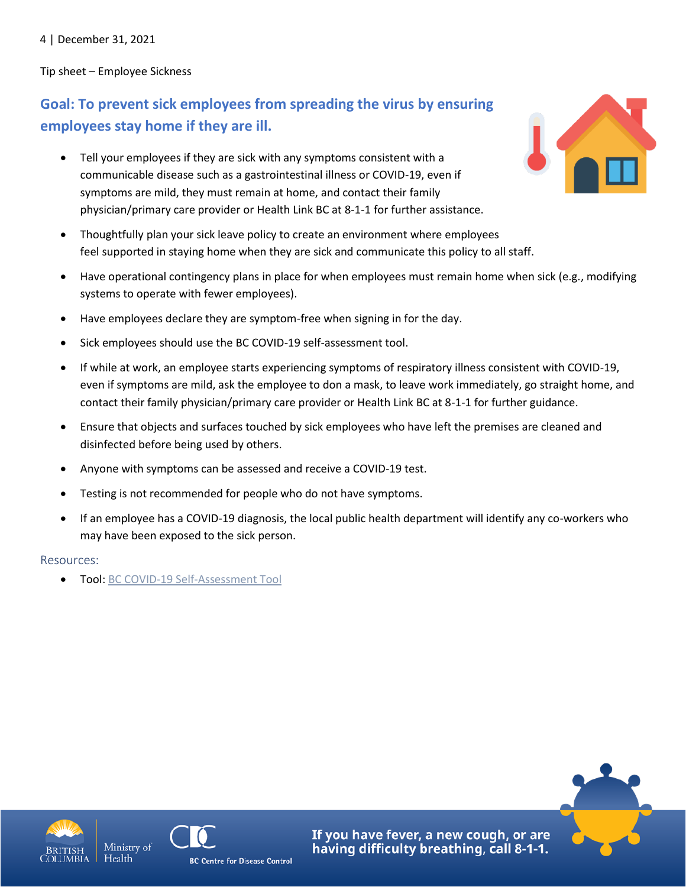4 | December 31, 2021

Tip sheet – Employee Sickness

### **Goal: To prevent sick employees from spreading the virus by ensuring employees stay home if they are ill.**

- Tell your employees if they are sick with any symptoms consistent with a communicable disease such as a gastrointestinal illness or COVID-19, even if symptoms are mild, they must remain at home, and contact their family physician/primary care provider or Health Link BC at 8-1-1 for further assistance.
- Thoughtfully plan your sick leave policy to create an environment where employees feel supported in staying home when they are sick and communicate this policy to all staff.
- Have operational contingency plans in place for when employees must remain home when sick (e.g., modifying systems to operate with fewer employees).
- Have employees declare they are symptom-free when signing in for the day.
- Sick employees should use the BC COVID-19 self-assessment tool.
- If while at work, an employee starts experiencing symptoms of respiratory illness consistent with COVID-19, even if symptoms are mild, ask the employee to don a mask, to leave work immediately, go straight home, and contact their family physician/primary care provider or Health Link BC at 8-1-1 for further guidance.
- Ensure that objects and surfaces touched by sick employees who have left the premises are cleaned and disinfected before being used by others.
- Anyone with symptoms can be assessed and receive a COVID-19 test.
- Testing is not recommended for people who do not have symptoms.
- If an employee has a COVID-19 diagnosis, the local public health department will identify any co-workers who may have been exposed to the sick person.

#### Resources:

• Tool[: BC COVID-19 Self-Assessment Tool](https://bc.thrive.health/)







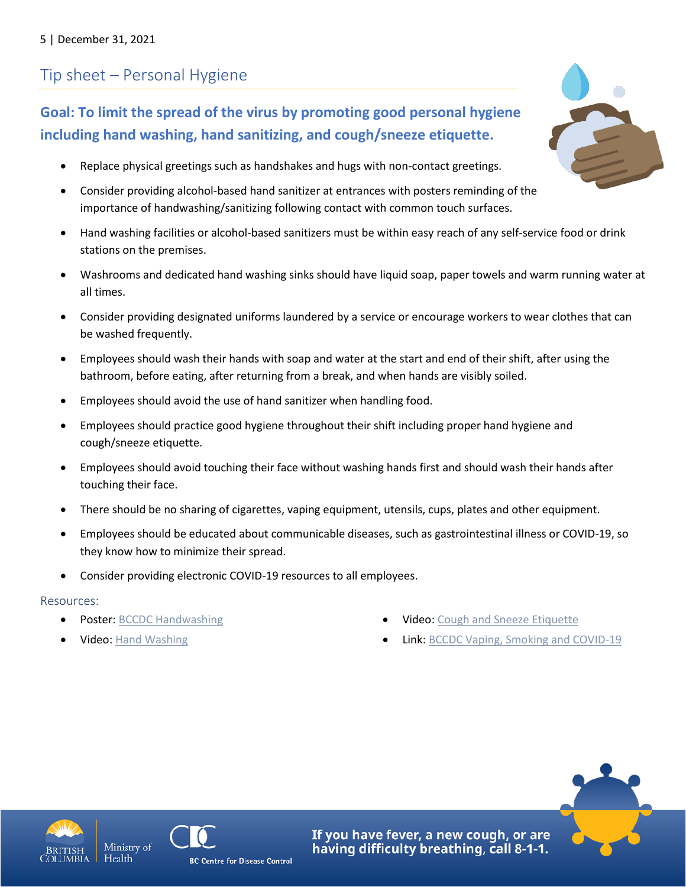# Tip sheet – Personal Hygiene

### **Goal: To limit the spread of the virus by promoting good personal hygiene including hand washing, hand sanitizing, and cough/sneeze etiquette.**

- Replace physical greetings such as handshakes and hugs with non-contact greetings.
- Consider providing alcohol-based hand sanitizer at entrances with posters reminding of the importance of handwashing/sanitizing following contact with common touch surfaces.
- Hand washing facilities or alcohol-based sanitizers must be within easy reach of any self-service food or drink stations on the premises.
- Washrooms and dedicated hand washing sinks should have liquid soap, paper towels and warm running water at all times.
- Consider providing designated uniforms laundered by a service or encourage workers to wear clothes that can be washed frequently.
- Employees should wash their hands with soap and water at the start and end of their shift, after using the bathroom, before eating, after returning from a break, and when hands are visibly soiled.
- Employees should avoid the use of hand sanitizer when handling food.
- Employees should practice good hygiene throughout their shift including proper hand hygiene and cough/sneeze etiquette.
- Employees should avoid touching their face without washing hands first and should wash their hands after touching their face.
- There should be no sharing of cigarettes, vaping equipment, utensils, cups, plates and other equipment.
- Employees should be educated about communicable diseases, such as gastrointestinal illness or COVID-19, so they know how to minimize their spread.
- Consider providing electronic COVID-19 resources to all employees.

#### Resources:

- Poster: [BCCDC Handwashing](http://www.bccdc.ca/Health-Professionals-Site/Documents/COVID19_Handwashing%20Poster_MD%20offices.pdf)
- [Video: Hand Washing](https://www.youtube.com/watch?v=a7RBC_2N4KE&list=PLkETa5i0ewgVtWjfEDDrrA7C8h2VWuwFm&index=6&t=0s)
- Video[: Cough and Sneeze Etiquette](https://www.youtube.com/watch?v=8wmKArVuLaI)
- Link: [BCCDC Vaping, Smoking and COVID-19](http://www.bccdc.ca/health-info/diseases-conditions/covid-19/prevention-risks/vaping-smoking-and-covid-19)









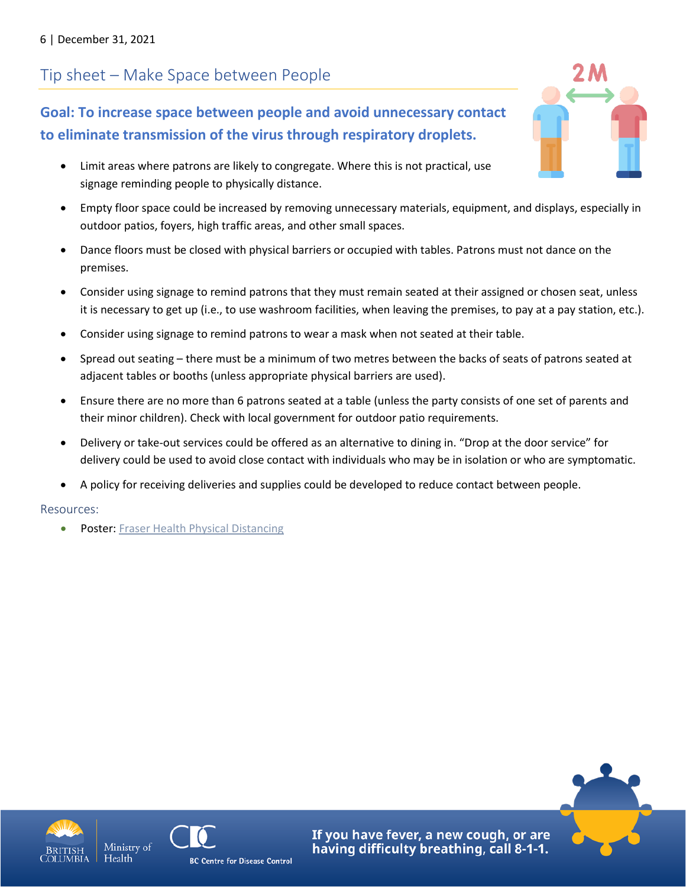# Tip sheet – Make Space between People

**Goal: To increase space between people and avoid unnecessary contact to eliminate transmission of the virus through respiratory droplets.**

- Limit areas where patrons are likely to congregate. Where this is not practical, use signage reminding people to physically distance.
- Empty floor space could be increased by removing unnecessary materials, equipment, and displays, especially in outdoor patios, foyers, high traffic areas, and other small spaces.
- Dance floors must be closed with physical barriers or occupied with tables. Patrons must not dance on the premises.
- Consider using signage to remind patrons that they must remain seated at their assigned or chosen seat, unless it is necessary to get up (i.e., to use washroom facilities, when leaving the premises, to pay at a pay station, etc.).
- Consider using signage to remind patrons to wear a mask when not seated at their table.
- Spread out seating there must be a minimum of two metres between the backs of seats of patrons seated at adjacent tables or booths (unless appropriate physical barriers are used).
- Ensure there are no more than 6 patrons seated at a table (unless the party consists of one set of parents and their minor children). Check with local government for outdoor patio requirements.
- Delivery or take-out services could be offered as an alternative to dining in. "Drop at the door service" for delivery could be used to avoid close contact with individuals who may be in isolation or who are symptomatic.
- A policy for receiving deliveries and supplies could be developed to reduce contact between people.

#### Resources:

Poster: [Fraser Health Physical Distancing](https://www.fraserhealth.ca/-/media/Project/FraserHealth/FraserHealth/Health-Topics/Coronavirus/Physical-distancing-poster_1700x2200.jpg?la=en&hash=AF805A6620D016409372DD5ED5C7759889211036)









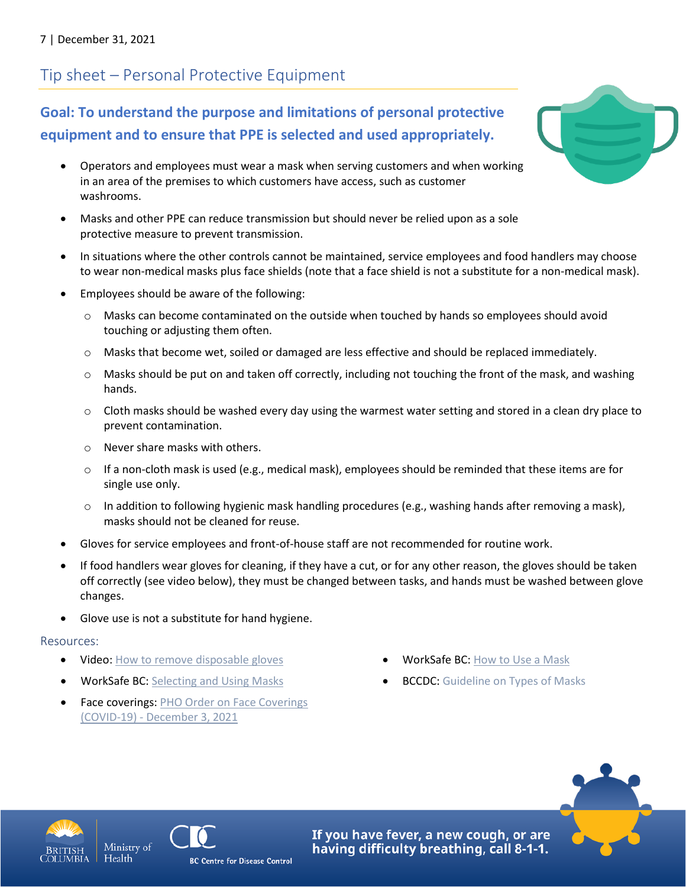# Tip sheet – Personal Protective Equipment

### **Goal: To understand the purpose and limitations of personal protective equipment and to ensure that PPE is selected and used appropriately.**

- Operators and employees must wear a mask when serving customers and when working in an area of the premises to which customers have access, such as customer washrooms.
- Masks and other PPE can reduce transmission but should never be relied upon as a sole protective measure to prevent transmission.
- In situations where the other controls cannot be maintained, service employees and food handlers may choose to wear non-medical masks plus face shields (note that a face shield is not a substitute for a non-medical mask).
- Employees should be aware of the following:
	- $\circ$  Masks can become contaminated on the outside when touched by hands so employees should avoid touching or adjusting them often.
	- o Masks that become wet, soiled or damaged are less effective and should be replaced immediately.
	- $\circ$  Masks should be put on and taken off correctly, including not touching the front of the mask, and washing hands.
	- $\circ$  Cloth masks should be washed every day using the warmest water setting and stored in a clean dry place to prevent contamination.
	- o Never share masks with others.
	- $\circ$  If a non-cloth mask is used (e.g., medical mask), employees should be reminded that these items are for single use only.
	- $\circ$  In addition to following hygienic mask handling procedures (e.g., washing hands after removing a mask), masks should not be cleaned for reuse.
- Gloves for service employees and front-of-house staff are not recommended for routine work.
- If food handlers wear gloves for cleaning, if they have a cut, or for any other reason, the gloves should be taken off correctly (see video below), they must be changed between tasks, and hands must be washed between glove changes.
- Glove use is not a substitute for hand hygiene.

#### Resources:

- [Video: How to remove disposable gloves](https://www.canada.ca/en/public-health/services/video/covid-19-how-to-take-off-disposable-gloves.html)
- WorkSafe BC: [Selecting and Using Masks](https://www.worksafebc.com/en/resources/health-safety/information-sheets/covid-19-health-safety-selecting-using-masks?lang=en)
- Face coverings: PHO Order on Face Coverings (COVID-19) - [December 3, 2021](https://www2.gov.bc.ca/assets/gov/health/about-bc-s-health-care-system/office-of-the-provincial-health-officer/covid-19/covid-19-pho-order-face-coverings.pdf)
- WorkSafe BC: [How to](https://www.worksafebc.com/en/resources/health-safety/posters/help-prevent-spread-covid-19-how-to-use-mask?lang=en) Use a Mask
- **BCCDC:** [Guideline on Types of Masks](http://www.bccdc.ca/health-info/diseases-conditions/covid-19/prevention-risks/masks)



Health





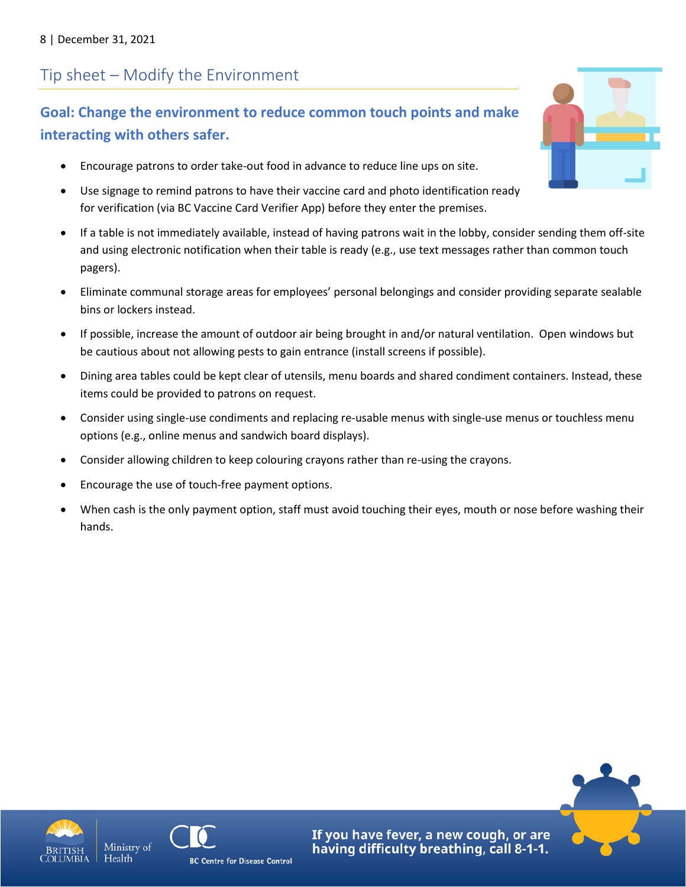# Tip sheet – Modify the Environment

### **Goal: Change the environment to reduce common touch points and make interacting with others safer.**

- Encourage patrons to order take-out food in advance to reduce line ups on site.
- Use signage to remind patrons to have their vaccine card and photo identification ready for verification (via BC Vaccine Card Verifier App) before they enter the premises.
- If a table is not immediately available, instead of having patrons wait in the lobby, consider sending them off-site and using electronic notification when their table is ready (e.g., use text messages rather than common touch pagers).
- Eliminate communal storage areas for employees' personal belongings and consider providing separate sealable bins or lockers instead.
- If possible, increase the amount of outdoor air being brought in and/or natural ventilation. Open windows but be cautious about not allowing pests to gain entrance (install screens if possible).
- Dining area tables could be kept clear of utensils, menu boards and shared condiment containers. Instead, these items could be provided to patrons on request.
- Consider using single-use condiments and replacing re-usable menus with single-use menus or touchless menu options (e.g., online menus and sandwich board displays).
- Consider allowing children to keep colouring crayons rather than re-using the crayons.
- Encourage the use of touch-free payment options.
- When cash is the only payment option, staff must avoid touching their eyes, mouth or nose before washing their hands.









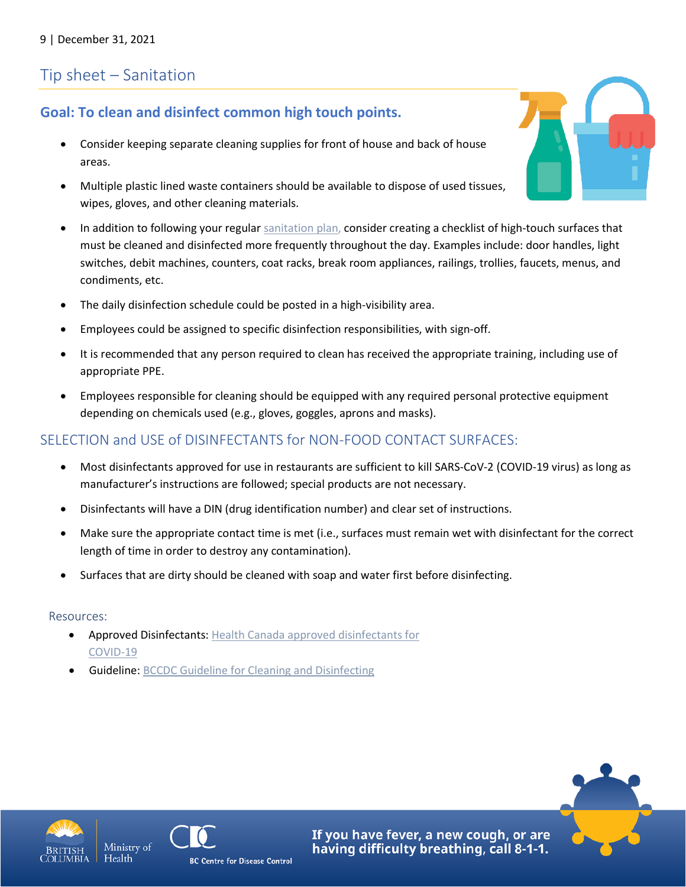### Tip sheet – Sanitation

### **Goal: To clean and disinfect common high touch points.**

- Consider keeping separate cleaning supplies for front of house and back of house areas.
- Multiple plastic lined waste containers should be available to dispose of used tissues, wipes, gloves, and other cleaning materials.
- In addition to following your regular [sanitation plan,](https://www2.gov.bc.ca/assets/gov/health/keeping-bc-healthy-safe/food-safety-security/sanitation_plan_template_-_september_2017.docx) consider creating a checklist of high-touch surfaces that must be cleaned and disinfected more frequently throughout the day. Examples include: door handles, light switches, debit machines, counters, coat racks, break room appliances, railings, trollies, faucets, menus, and condiments, etc.
- The daily disinfection schedule could be posted in a high-visibility area.
- Employees could be assigned to specific disinfection responsibilities, with sign-off.
- It is recommended that any person required to clean has received the appropriate training, including use of appropriate PPE.
- Employees responsible for cleaning should be equipped with any required personal protective equipment depending on chemicals used (e.g., gloves, goggles, aprons and masks).

### SELECTION and USE of DISINFECTANTS for NON-FOOD CONTACT SURFACES:

- Most disinfectants approved for use in restaurants are sufficient to kill SARS-CoV-2 (COVID-19 virus) as long as manufacturer's instructions are followed; special products are not necessary.
- Disinfectants will have a DIN (drug identification number) and clear set of instructions.
- Make sure the appropriate contact time is met (i.e., surfaces must remain wet with disinfectant for the correct length of time in order to destroy any contamination).
- Surfaces that are dirty should be cleaned with soap and water first before disinfecting.

#### Resources:

- Approved Disinfectants: [Health Canada approved disinfectants for](https://www.canada.ca/en/health-canada/services/drugs-health-products/disinfectants/covid-19/list.html)  [COVID-19](https://www.canada.ca/en/health-canada/services/drugs-health-products/disinfectants/covid-19/list.html)
- Guideline[: BCCDC Guideline for Cleaning and Disinfecting](http://www.bccdc.ca/health-info/diseases-conditions/covid-19/prevention-risks/cleaning-and-disinfecting)